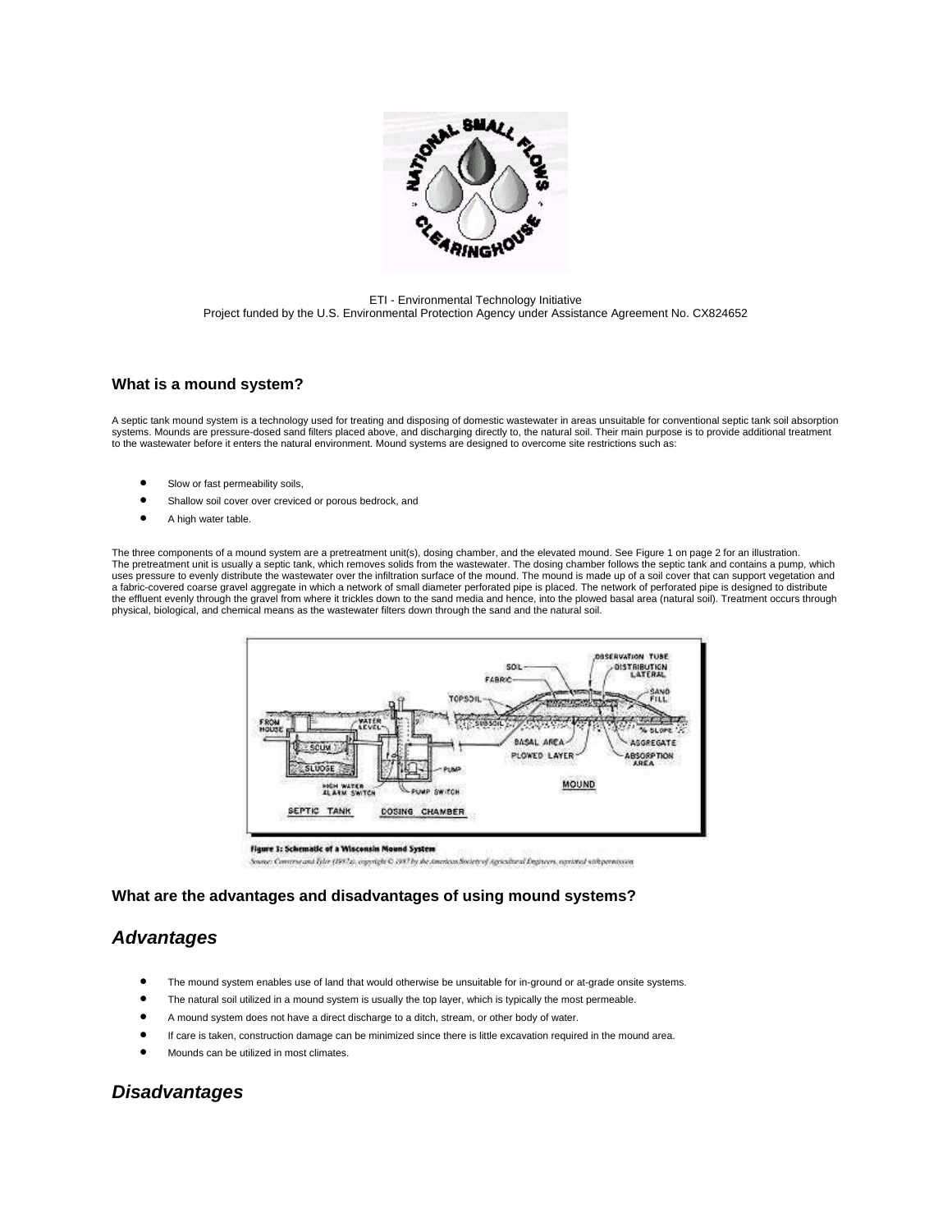

ETI - Environmental Technology Initiative Project funded by the U.S. Environmental Protection Agency under Assistance Agreement No. CX824652

### **What is a mound system?**

A septic tank mound system is a technology used for treating and disposing of domestic wastewater in areas unsuitable for conventional septic tank soil absorption systems. Mounds are pressure-dosed sand filters placed above, and discharging directly to, the natural soil. Their main purpose is to provide additional treatment to the wastewater before it enters the natural environment. Mound systems are designed to overcome site restrictions such as:

- Slow or fast permeability soils,
- Shallow soil cover over creviced or porous bedrock, and
- A high water table.

The three components of a mound system are a pretreatment unit(s), dosing chamber, and the elevated mound. See Figure 1 on page 2 for an illustration. The pretreatment unit is usually a septic tank, which removes solids from the wastewater. The dosing chamber follows the septic tank and contains a pump, which uses pressure to evenly distribute the wastewater over the infiltration surface of the mound. The mound is made up of a soil cover that can support vegetation and a fabric-covered coarse gravel aggregate in which a network of small diameter perforated pipe is placed. The network of perforated pipe is designed to distribute the effluent evenly through the gravel from where it trickles down to the sand media and hence, into the plowed basal area (natural soil). Treatment occurs through physical, biological, and chemical means as the wastewater filters down through the sand and the natural soil.



Source: Commercial Tyler (1997a), espyright C. (997by the American Society of Agricultural Engineers, reprinted with permission

### **What are the advantages and disadvantages of using mound systems?**

## *Advantages*

- The mound system enables use of land that would otherwise be unsuitable for in-ground or at-grade onsite systems.
- The natural soil utilized in a mound system is usually the top layer, which is typically the most permeable.
- A mound system does not have a direct discharge to a ditch, stream, or other body of water.
- If care is taken, construction damage can be minimized since there is little excavation required in the mound area.
- Mounds can be utilized in most climates.

# *Disadvantages*